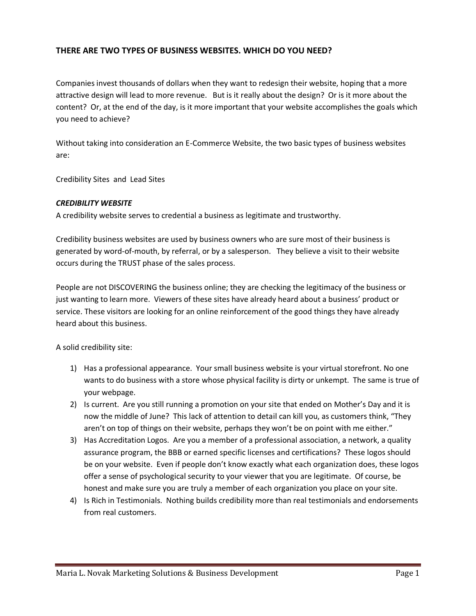# **THERE ARE TWO TYPES OF BUSINESS WEBSITES. WHICH DO YOU NEED?**

Companies invest thousands of dollars when they want to redesign their website, hoping that a more attractive design will lead to more revenue. But is it really about the design? Or is it more about the content? Or, at the end of the day, is it more important that your website accomplishes the goals which you need to achieve?

Without taking into consideration an E-Commerce Website, the two basic types of business websites are:

Credibility Sites and Lead Sites

#### *CREDIBILITY WEBSITE*

A credibility website serves to credential a business as legitimate and trustworthy.

Credibility business websites are used by business owners who are sure most of their business is generated by word-of-mouth, by referral, or by a salesperson. They believe a visit to their website occurs during the TRUST phase of the sales process.

People are not DISCOVERING the business online; they are checking the legitimacy of the business or just wanting to learn more. Viewers of these sites have already heard about a business' product or service. These visitors are looking for an online reinforcement of the good things they have already heard about this business.

A solid credibility site:

- 1) Has a professional appearance. Your small business website is your virtual storefront. No one wants to do business with a store whose physical facility is dirty or unkempt. The same is true of your webpage.
- 2) Is current. Are you still running a promotion on your site that ended on Mother's Day and it is now the middle of June? This lack of attention to detail can kill you, as customers think, "They aren't on top of things on their website, perhaps they won't be on point with me either."
- 3) Has Accreditation Logos. Are you a member of a professional association, a network, a quality assurance program, the BBB or earned specific licenses and certifications? These logos should be on your website. Even if people don't know exactly what each organization does, these logos offer a sense of psychological security to your viewer that you are legitimate. Of course, be honest and make sure you are truly a member of each organization you place on your site.
- 4) Is Rich in Testimonials. Nothing builds credibility more than real testimonials and endorsements from real customers.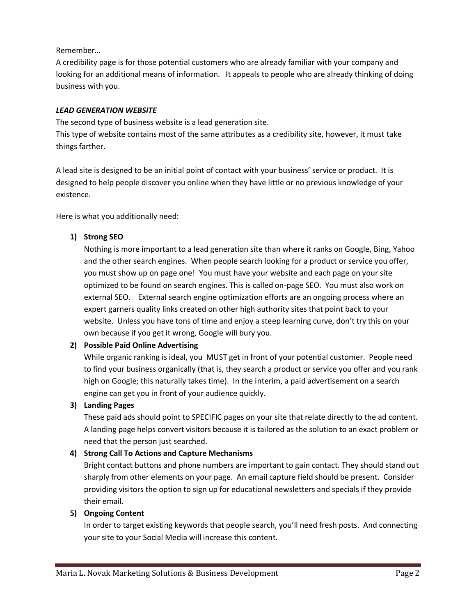Remember…

A credibility page is for those potential customers who are already familiar with your company and looking for an additional means of information. It appeals to people who are already thinking of doing business with you.

#### *LEAD GENERATION WEBSITE*

The second type of business website is a lead generation site. This type of website contains most of the same attributes as a credibility site, however, it must take things farther.

A lead site is designed to be an initial point of contact with your business' service or product. It is designed to help people discover you online when they have little or no previous knowledge of your existence.

Here is what you additionally need:

# **1) Strong SEO**

Nothing is more important to a lead generation site than where it ranks on Google, Bing, Yahoo and the other search engines. When people search looking for a product or service you offer, you must show up on page one! You must have your website and each page on your site optimized to be found on search engines. This is called on-page SEO. You must also work on external SEO. External search engine optimization efforts are an ongoing process where an expert garners quality links created on other high authority sites that point back to your website. Unless you have tons of time and enjoy a steep learning curve, don't try this on your own because if you get it wrong, Google will bury you.

# **2) Possible Paid Online Advertising**

While organic ranking is ideal, you MUST get in front of your potential customer. People need to find your business organically (that is, they search a product or service you offer and you rank high on Google; this naturally takes time). In the interim, a paid advertisement on a search engine can get you in front of your audience quickly.

# **3) Landing Pages**

These paid ads should point to SPECIFIC pages on your site that relate directly to the ad content. A landing page helps convert visitors because it is tailored as the solution to an exact problem or need that the person just searched.

# **4) Strong Call To Actions and Capture Mechanisms**

Bright contact buttons and phone numbers are important to gain contact. They should stand out sharply from other elements on your page. An email capture field should be present. Consider providing visitors the option to sign up for educational newsletters and specials if they provide their email.

# **5) Ongoing Content**

In order to target existing keywords that people search, you'll need fresh posts. And connecting your site to your Social Media will increase this content.